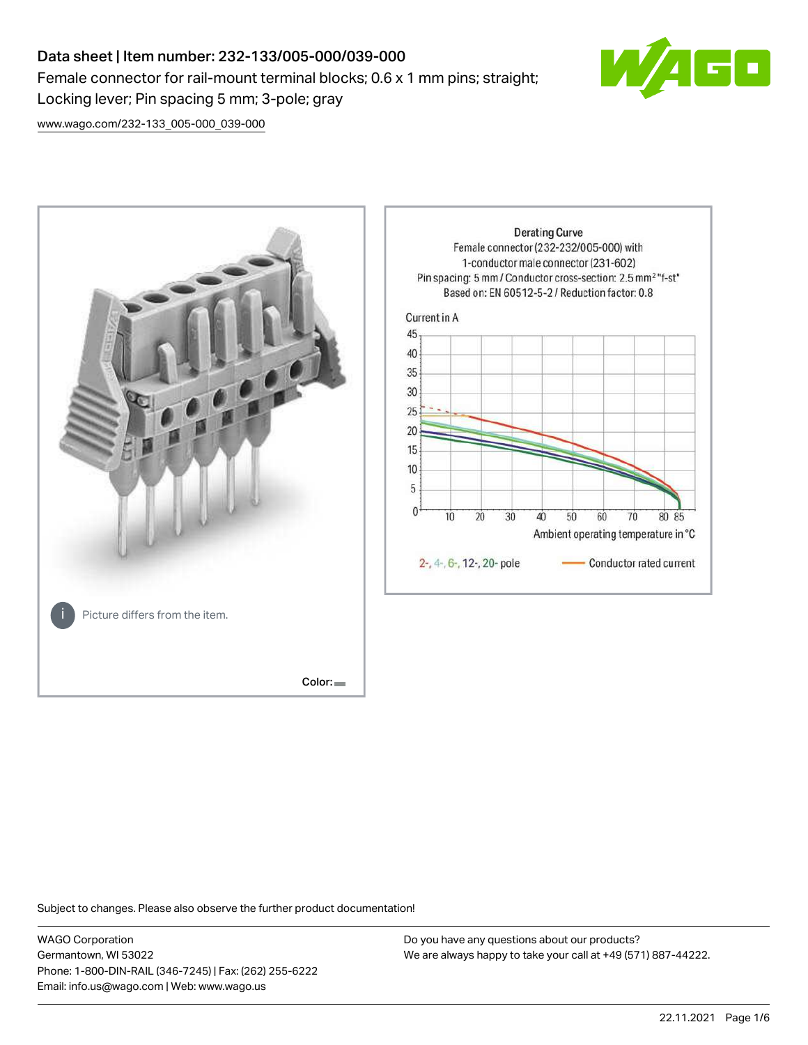# Data sheet | Item number: 232-133/005-000/039-000 Female connector for rail-mount terminal blocks; 0.6 x 1 mm pins; straight; Locking lever; Pin spacing 5 mm; 3-pole; gray



[www.wago.com/232-133\\_005-000\\_039-000](http://www.wago.com/232-133_005-000_039-000)



Subject to changes. Please also observe the further product documentation!

WAGO Corporation Germantown, WI 53022 Phone: 1-800-DIN-RAIL (346-7245) | Fax: (262) 255-6222 Email: info.us@wago.com | Web: www.wago.us

Do you have any questions about our products? We are always happy to take your call at +49 (571) 887-44222.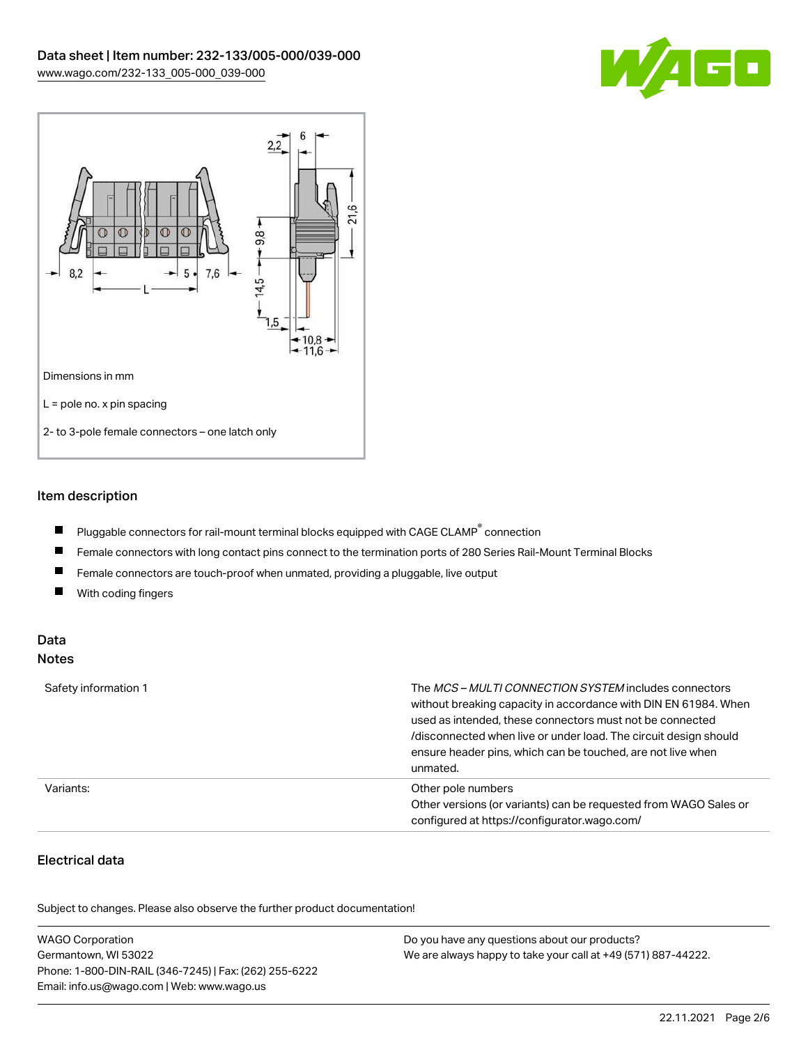



## Item description

- $\blacksquare$ Pluggable connectors for rail-mount terminal blocks equipped with CAGE CLAMP $^{\circ}$  connection
- $\blacksquare$ Female connectors with long contact pins connect to the termination ports of 280 Series Rail-Mount Terminal Blocks
- $\blacksquare$ Female connectors are touch-proof when unmated, providing a pluggable, live output
- $\blacksquare$ With coding fingers

#### Data Notes

| Safety information 1 | The <i>MCS – MULTI CONNECTION SYSTEM</i> includes connectors<br>without breaking capacity in accordance with DIN EN 61984. When<br>used as intended, these connectors must not be connected<br>/disconnected when live or under load. The circuit design should<br>ensure header pins, which can be touched, are not live when<br>unmated. |
|----------------------|--------------------------------------------------------------------------------------------------------------------------------------------------------------------------------------------------------------------------------------------------------------------------------------------------------------------------------------------|
| Variants:            | Other pole numbers<br>Other versions (or variants) can be requested from WAGO Sales or<br>configured at https://configurator.wago.com/                                                                                                                                                                                                     |

# Electrical data

.<br>Subject to changes. Please also observe the further product documentation!

| <b>WAGO Corporation</b>                                | Do you have any questions about our products?                 |
|--------------------------------------------------------|---------------------------------------------------------------|
| Germantown, WI 53022                                   | We are always happy to take your call at +49 (571) 887-44222. |
| Phone: 1-800-DIN-RAIL (346-7245)   Fax: (262) 255-6222 |                                                               |
| Email: info.us@wago.com   Web: www.wago.us             |                                                               |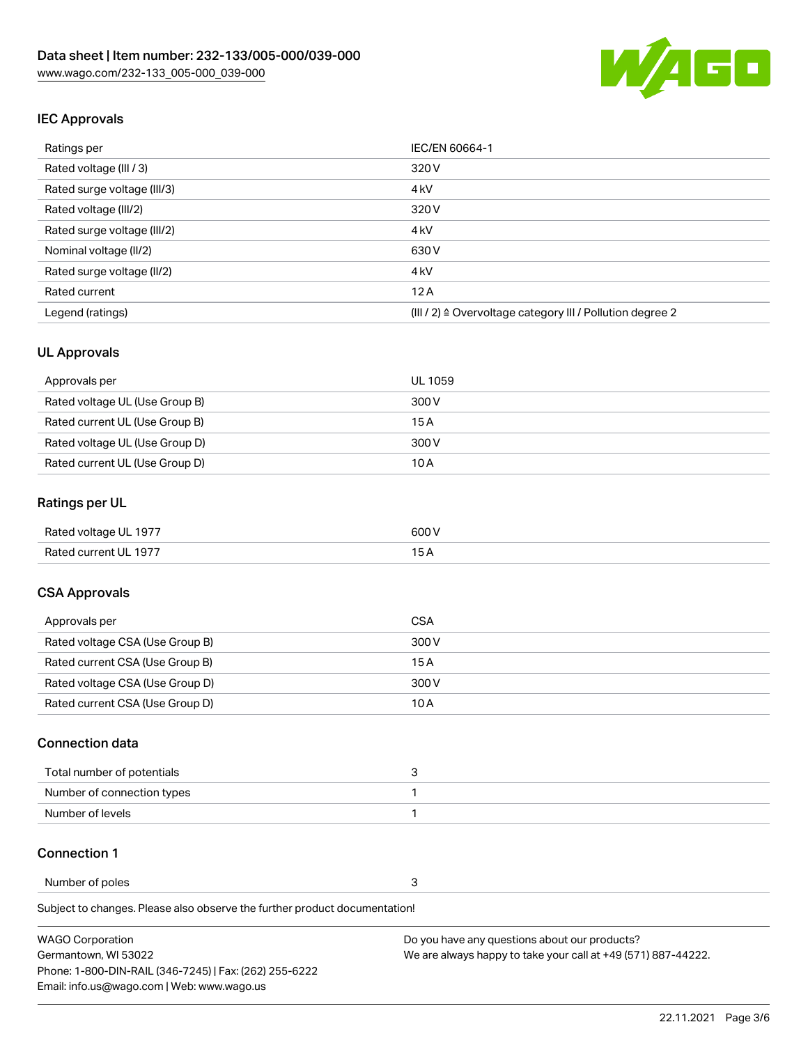

## IEC Approvals

| Ratings per                 | IEC/EN 60664-1                                                       |
|-----------------------------|----------------------------------------------------------------------|
| Rated voltage (III / 3)     | 320 V                                                                |
| Rated surge voltage (III/3) | 4 <sub>k</sub> V                                                     |
| Rated voltage (III/2)       | 320 V                                                                |
| Rated surge voltage (III/2) | 4 <sub>k</sub> V                                                     |
| Nominal voltage (II/2)      | 630 V                                                                |
| Rated surge voltage (II/2)  | 4 <sub>k</sub> V                                                     |
| Rated current               | 12A                                                                  |
| Legend (ratings)            | (III / 2) $\triangleq$ Overvoltage category III / Pollution degree 2 |

### UL Approvals

| Approvals per                  | UL 1059 |
|--------------------------------|---------|
| Rated voltage UL (Use Group B) | 300 V   |
| Rated current UL (Use Group B) | 15 A    |
| Rated voltage UL (Use Group D) | 300 V   |
| Rated current UL (Use Group D) | 10 A    |

### Ratings per UL

| Rated voltage UL 1977 | 600V |
|-----------------------|------|
| Rated current UL 1977 |      |

### CSA Approvals

| Approvals per                   | CSA   |
|---------------------------------|-------|
| Rated voltage CSA (Use Group B) | 300 V |
| Rated current CSA (Use Group B) | 15 A  |
| Rated voltage CSA (Use Group D) | 300 V |
| Rated current CSA (Use Group D) | 10 A  |

#### Connection data

| Total number of potentials | ∼ |
|----------------------------|---|
| Number of connection types |   |
| Number of levels           |   |

#### Connection 1

Number of poles 3

Subject to changes. Please also observe the further product documentation!

| WAGO Corporation                                       | Do you have any questions about our products?                 |
|--------------------------------------------------------|---------------------------------------------------------------|
| Germantown. WI 53022                                   | We are always happy to take your call at +49 (571) 887-44222. |
| Phone: 1-800-DIN-RAIL (346-7245)   Fax: (262) 255-6222 |                                                               |
| Email: info.us@wago.com   Web: www.wago.us             |                                                               |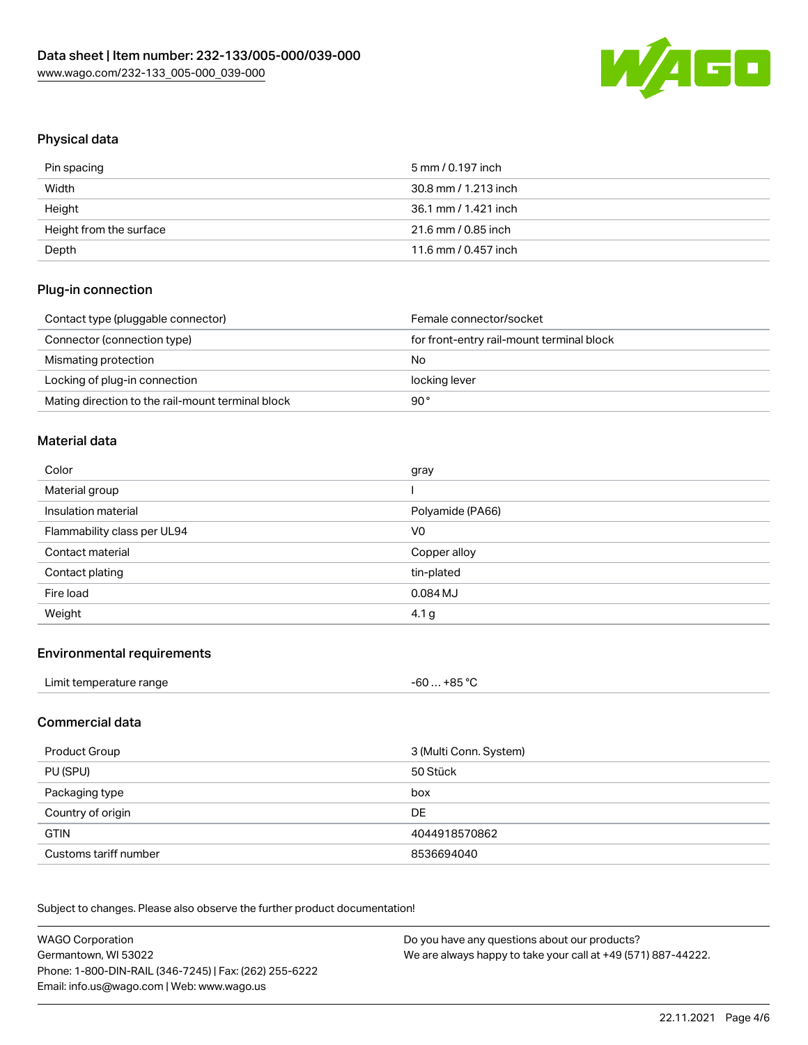

## Physical data

| Pin spacing             | 5 mm / 0.197 inch    |
|-------------------------|----------------------|
| Width                   | 30.8 mm / 1.213 inch |
| Height                  | 36.1 mm / 1.421 inch |
| Height from the surface | 21.6 mm / 0.85 inch  |
| Depth                   | 11.6 mm / 0.457 inch |

### Plug-in connection

| Contact type (pluggable connector)                | Female connector/socket                   |
|---------------------------------------------------|-------------------------------------------|
| Connector (connection type)                       | for front-entry rail-mount terminal block |
| Mismating protection                              | No                                        |
| Locking of plug-in connection                     | locking lever                             |
| Mating direction to the rail-mount terminal block | 90°                                       |

#### Material data

| Color                       | gray             |
|-----------------------------|------------------|
| Material group              |                  |
| Insulation material         | Polyamide (PA66) |
| Flammability class per UL94 | V <sub>0</sub>   |
| Contact material            | Copper alloy     |
|                             |                  |
| Contact plating             | tin-plated       |
| Fire load                   | 0.084 MJ         |

#### Environmental requirements

### Commercial data

| Product Group         | 3 (Multi Conn. System) |
|-----------------------|------------------------|
| PU (SPU)              | 50 Stück               |
| Packaging type        | box                    |
| Country of origin     | <b>DE</b>              |
| <b>GTIN</b>           | 4044918570862          |
| Customs tariff number | 8536694040             |

Subject to changes. Please also observe the further product documentation!

| <b>WAGO Corporation</b>                                | Do you have any questions about our products?                 |
|--------------------------------------------------------|---------------------------------------------------------------|
| Germantown, WI 53022                                   | We are always happy to take your call at +49 (571) 887-44222. |
| Phone: 1-800-DIN-RAIL (346-7245)   Fax: (262) 255-6222 |                                                               |
| Email: info.us@wago.com   Web: www.wago.us             |                                                               |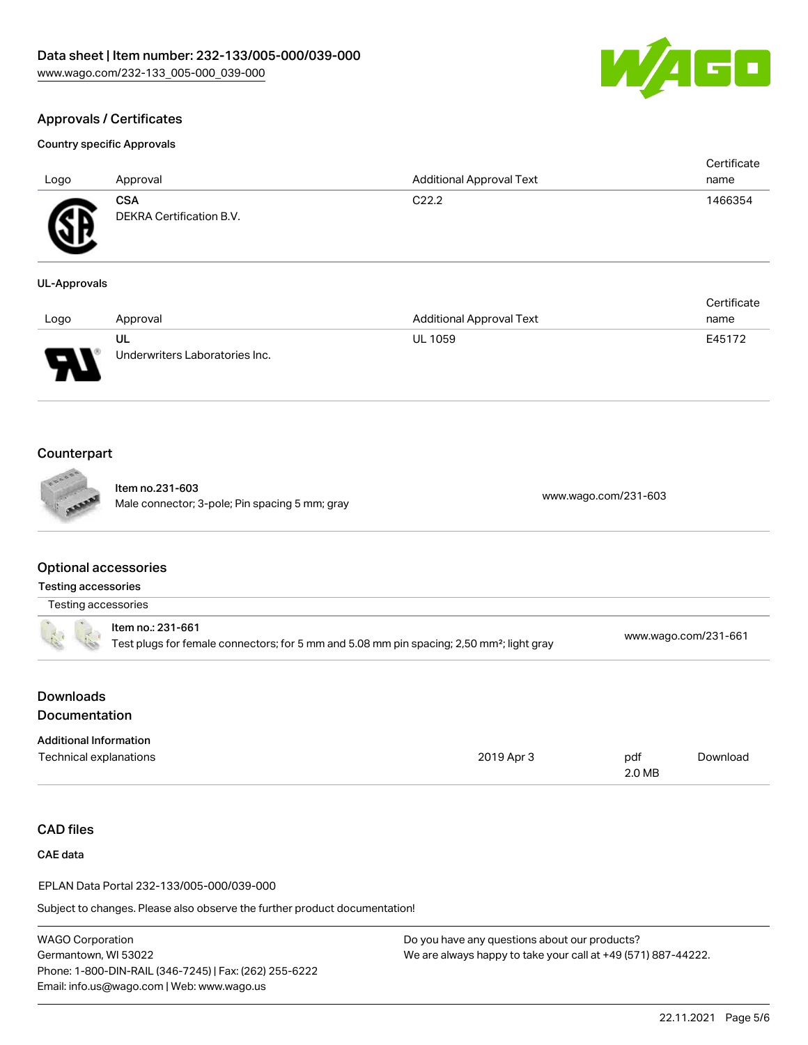

Certificate

# Approvals / Certificates

#### Country specific Approvals

| Logo                        | Approval                               | <b>Additional Approval Text</b> | Certificate<br>name |
|-----------------------------|----------------------------------------|---------------------------------|---------------------|
| $\mathbf{P}$<br>$\bf\omega$ | <b>CSA</b><br>DEKRA Certification B.V. | C <sub>22.2</sub>               | 1466354             |

#### UL-Approvals

| Logo | Approval                       | <b>Additional Approval Text</b> | name   |
|------|--------------------------------|---------------------------------|--------|
|      | UL                             | <b>UL 1059</b>                  | E45172 |
| J    | Underwriters Laboratories Inc. |                                 |        |

## Counterpart

Item no.231-603 nem no.251-603<br>Male connector; 3-pole; Pin spacing 5 mm; gray [www.wago.com/231-603](https://www.wago.com/231-603)

#### Optional accessories

| <b>Testing accessories</b> |  |
|----------------------------|--|
|                            |  |

| Testing accessories |                   |               |
|---------------------|-------------------|---------------|
|                     | Item no.: 231-661 | MAAM WADO COM |

|  | Test plugs for female connectors; for 5 mm and 5.08 mm pin spacing; 2,50 mm <sup>2</sup> ; light gray | www.wago.com/231-661 |
|--|-------------------------------------------------------------------------------------------------------|----------------------|
|  |                                                                                                       |                      |
|  |                                                                                                       |                      |

## **Downloads** Documentation

| <b>Additional Information</b> |            |        |          |
|-------------------------------|------------|--------|----------|
| Technical explanations        | 2019 Apr 3 | pdf    | Download |
|                               |            | 2.0 MB |          |

# CAD files

CAE data

EPLAN Data Portal 232-133/005-000/039-000

Subject to changes. Please also observe the further product documentation!

WAGO Corporation Germantown, WI 53022 Phone: 1-800-DIN-RAIL (346-7245) | Fax: (262) 255-6222 Email: info.us@wago.com | Web: www.wago.us

Do you have any questions about our products? We are always happy to take your call at +49 (571) 887-44222.